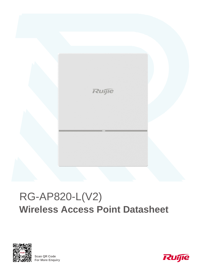

# RG-AP820-L(V2) **Wireless Access Point Datasheet**



**Scan QR Code For More Enquiry**

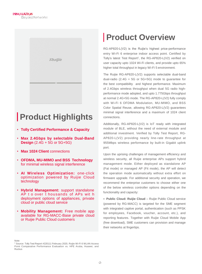

# **Product Highlights**

- **Tolly Certified Performance & Capacity**
- **Max 2.4Gbps by selectable Dual-Band Design** (2.4G + 5G or 5G+5G)
- **Max 1024 Client** connections
- **OFDMA, MU-MIMO and BSS Technology** for minimal wireless signal interference
- **AI Wireless Optimization:** one-click optimization powered by Ruijie Cloud technology
- **Hybrid Management:** support standalone AP t o over t housands of APs wit h deployment options of appliances, private cloud or public cloud service
- **Mobility Management:** Free mobile app available for RG-MACC-Base private cloud or Ruijie Public Cloud customers

# **Product Overview**

RG-AP820-L(V2) is the Ruijie's highest price-performance entry Wi-Fi 6 enterprise indoor access point. Certified by Tolly's latest Test Report<sup>1</sup>, the RG-AP820-L(V2) verified on user capacity upto 1024 Wi-Fi clients, and provide upto 65% higher total throughput in legacy Wi-Fi 5 environment.

The Ruijie RG-AP820-L(V2) supports selectable dual-band dual-radio (2.4G + 5G or 5G+5G) mode to guarantee for the best compatibility and highest performance. Maximum of 2.4Gbps wireless throughput when dual 5G radio highperformance mode adopted, and upto 1.775Gbps throughput at normal 2.4G+5G mode. The RG-AP820-L(V2) fully comply with Wi-Fi 6 OFDMA Modulation, MU-MIMO, and BSS Color Spatial Reuse, allowing RG-AP820-L(V2) guarantees minimal signal interference and a maximum of 1024 client connections.

Additionally, RG-AP820-L(V2) is IoT ready with integrated module of BLE, without the need of external module and additional investment. Verified by Tolly Test Report, RG-AP820-L(V2) providing nearly line-rate throughput at 955Mbps wireless performance by built-in Gigabit uplink port.

Upon the uprising challenges of management efficiency and wireless security, all Ruijie enterprise APs support hybrid management mode. Either deployed as standalone AP (Fat mode) or managed AP (Fit mode), the AP will detect the operation mode automatically without extra effort on firmware upgrade. For additional security and operation, we recommend the enterprise customers to choose either one of the below wireless controller options depending on the functionality and capacity:

• Public Cloud: Ruijie Cloud - Ruijie Public Cloud service (powered by RG-MACC) is targeted for the SME segment with integrated captive portal, authentication (such as PPSK for employees, Facebook, voucher, account, etc.), and reporting features. Together with Ruijie Cloud Mobile App (free download), SME customers can provision and manage their networks at fingertips.

Note:

<sup>1</sup> Source: Tolly Test Report #220111 February 2020, Ruijie Wi-Fi 6 WLAN Access Point Comparative Performance Evaluation vs. HPE Aruba, Huawei, and Ruckus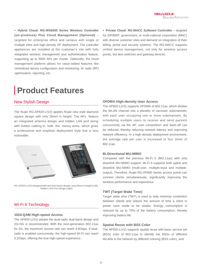● **Hybrid Cloud: RG-WS6000 Series Wireless Controller (on-premises) Plus Cloud Management (Optional)** – targeted for enterprise office and campus with single or multiple sites and high-density AP deployment. The controller appliances are installed at the customer's site with fully integrated wireless management and authentication feature, supporting up to 5000 APs per cluster. Optionally, the cloud management platform allows for value-added features like centralized device configuration and monitoring, AI radio (RF) optimization, reporting, etc.

• Private Cloud: RG-MACC Software Controller - targeted for ISP/MSP, government, or multi-national corporation (MNC) with diverse customer sites and demand on integration of their billing, portal and security systems. The RG-MACC supports unified device management, not only for wireless access points, but also switches and gateway devices.

# **Product Features**

### New Stylish Design

The Ruijie RG-AP820-L(V2) applies Ruijie new style diamond square design with only 26mm in height. The APs feature an integrated antenna design and hidden LAN port along with hidden cabling to hide the messy wires, which gives a professional and simplistic deployment style that is less noticeable.



RG-AP820-L(V2) designed with slim form factor design, only 26mm in height (Left); Hidden LAN Port design (right)

### Wi-Fi 6 Technology

#### **1024-QAM High-speed Access**

The AP820-L(V2) adopts the dual-radio dual-band design and 2G+5G is recommended. With the next-generation 802.11ax for 5G, the maximum access rate can reach 4.8Gbps. If dualradio is enabled concurrently, the high-speed Wi-Fi can reach 5.2Gbps, offering the true high-speed experience.

#### **OFDMA High-density User Access**

The AP820-L(V2) supports OFDMA of 802.11ax, which divides the WLAN channel into a plurality of narrower subchannels, with each user occupying one or more subchannels. By scheduling multiple users to receive and send packets concurrently via the AP, user competition and back-off can be reduced, thereby reducing network latency and improving network efficiency. In a high-density deployment environment, the average rate per user is increased to four times of 802.11ac.

#### **Bi-Directional MU-MIMO**

Compared with the previous Wi-Fi 5 (802.11ac) with only downlink MU-MIMO support, Wi-Fi 6 supports both uplink and downlink MU-MIMO (multi-user, multiple-input and multipleoutput). Therefore, Ruijie RG-AP800 Series access points can connect clients simultaneously, significantly improving the wireless performance and experience.

#### **TWT (Target Wake Time)**

Target wake time (TWT) is used to help minimize contention between clients and reduce the amount of time a client in power save mode to be awake. Energy consumption is reduced by up to 70% of the battery consumption, thereby improving battery life.

#### **Spatial Reuse with BSS Color**

The AP820-L(V2) supports spatial reuse with basic service set (BSS) color of 802.11ax to identify the BSSs of different WLANs in the network by different coloring (BSS color), and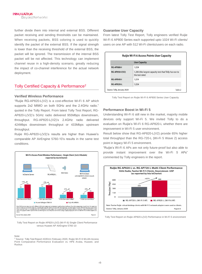further divide them into internal and external BSS. Different packet receiving and sending thresholds can be maintained. When receiving packets, BSS coloring is used to quickly identify the packet of the external BSS. If the signal strength is lower than the receiving threshold of the external BSS, the packet will be ignored. The transmission of the internal BSS packet will be not affected. This technology can implement channel reuse in a high-density scenario, greatly reducing the impact of co-channel interference for the actual network deployment.

### Tolly Certified Capacity & Performance<sup>2</sup>

#### **Verified Wireless Performance**

"Ruijie RG-AP820-L(V2) is a cost-effective Wi-Fi 6 AP which supports 2x2 MIMO on both 5GHz and the 2.4GHz radio." quoted in the Tolly Report. From latest Tolly Test Report, RG-AP820-L(V2)'s 5GHz radio delivered 955Mbps downstream, throughput. RG-AP820-L(V2)'s 2.4GHz radio delivered 424Mbps downstream throughput or 433Mbps upstream throughput.

Ruijie RG-AP820-L(V2)'s results are higher than Huawei's comparable AP AirEngine 5760-10's results in the same test conditions.



Tolly Test Report on Ruijie AP820-L(V2) (Wi-Fi 6) Single Client Performance versus Huawei AP AirEngine 5760-10

#### Note:

<sup>2</sup> Source: Tolly Test Report #220111 February 2020, Ruijie Wi-Fi 6 WLAN Access Point Comparative Performance Evaluation vs. HPE Aruba, Huawei, and Ruckus

#### **Guarantee User Capacity**

From latest Tolly Test Report, Tolly engineers verified Ruijie Wi-Fi 6 AP800 Series each supported upto 1024 Wi-Fi clients/ users on one AP with 512 Wi-Fi clients/users on each radio.

| <b>Ruijie Wi-Fi 6 Access Points User Capacity</b> |                                                                          |  |
|---------------------------------------------------|--------------------------------------------------------------------------|--|
| <b>User Capacity</b>                              |                                                                          |  |
| <b>RG-AP880-I</b>                                 | 1.024                                                                    |  |
| RG-AP850-I(V2)                                    | 1,280 (the largest capacity test that Tolly has run to<br>the test date) |  |
| <b>RG-AP840-L</b>                                 | 1.024                                                                    |  |
| <b>RG-AP820-L</b>                                 | 1,024                                                                    |  |
| Source: Tolly, January 2020                       | Table 2                                                                  |  |

Tolly Test Report on Ruijie Wi-Fi 6 AP800 Series User Capacity

#### **Performance Boost in Wi-Fi 5**

Understanding Wi-Fi 6 still new in the market, majority mobile devices only support Wi-Fi 5. We invited Tolly to do a evaluation on Ruijie's Wi-Fi 6 RG-AP820-L whether there are improvement in Wi-Fi 5 user environment.

Result below show that RG-AP820-L(V2) provide 65% higher total throughput than the RG-720-L (Wi-Fi 5 Wave 2) access point in legacy Wi-Fi 5 environment.

"Ruijie's Wi-Fi 6 APs are not only future-proof but also able to provide instant improvement over the Wi-Fi 5 APs" commented by Tolly engineers in the report.



Tolly Test Report on Ruijie AP820-L(V2) Performance in Wi-Fi 5 environment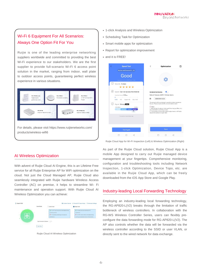# Wi-Fi 6 Equipment For All Scenarios: Always One Option Fit For You

Ruijie is one of the leading enterprise networking suppliers worldwide and committed to providing the best Wi-Fi experience to our stakeholders. We are the first supplier to provide full-scenario Wi-Fi 6 access point solution in the market, ranging from indoor, wall plate to outdoor access points, guaranteeing perfect wireless experience in various situations.



- 1-click Analysis and Wireless Optimization
- Scheduling Task for Optimization
- Smart mobile apps for optimization
- Report for optimization improvement
- and it is FREE!

| ∢<br><b>Speed Test</b>                                                                                                                 | ⟨<br><b>Optimization</b><br>⋍                                                                                                                                                                                                                                                                                                                       |
|----------------------------------------------------------------------------------------------------------------------------------------|-----------------------------------------------------------------------------------------------------------------------------------------------------------------------------------------------------------------------------------------------------------------------------------------------------------------------------------------------------|
| MySecretChannel01_5G                                                                                                                   |                                                                                                                                                                                                                                                                                                                                                     |
| Good<br>Inspection time: 2020-05-04 17:43                                                                                              |                                                                                                                                                                                                                                                                                                                                                     |
| O<br>Security 5 stars<br>*****                                                                                                         |                                                                                                                                                                                                                                                                                                                                                     |
| $(\varphi)$<br>Speed Can not access the Internet<br>Download Speed: 0.0Mais<br><b>DVD</b><br>HD.<br>BLU-RAY<br>Super-HD                | <b>Scheduled Optimization</b><br>Network Timezone: (GMT+7: 00)Asia/Jakarta<br>ÉΝ<br>2020-05-04 16:26                                                                                                                                                                                                                                                |
| $\overline{\mathbf{h}}$<br>Signal Strong More<br>$-100$ dBm<br>$-dBm$<br><b>CONTROL</b><br>Normal<br>Good<br><b>Strong</b><br>$41$ dBm | The network will be optimized to provide a better experience.<br>for you. Please ensure all APs are online before start.<br>(!) Note:<br>1. RRM will last for about 10min and STAs may go offline. It is<br>recommended to avoid busy hours.<br>2. If the system is busy with channel adjustment or AP Radio<br>adiustment, please try again later. |
| Powered by Ruijie Moho App                                                                                                             |                                                                                                                                                                                                                                                                                                                                                     |
| <b>Test Again</b>                                                                                                                      | Save                                                                                                                                                                                                                                                                                                                                                |
|                                                                                                                                        |                                                                                                                                                                                                                                                                                                                                                     |

Ruijie Cloud App for Wi-Fi Inspection (Left) & Wireless Optimization (Right)

### AI Wireless Optimization

With advent of Ruijie Cloud AI Engine, this is an Lifetime Free service for all Ruijie Enterprise AP for WiFi optimization on the cloud. Not just the Cloud Managed AP, Ruijie Cloud also seamlessly integrated with Ruijie hardware Wireless Access Controller (AC) on premise, it helps to streamline Wi- Fi maintenance and operation support. With Ruijie Cloud AI Wireless Optimization you can achieve:



Ruijie Cloud AI Wireless Optimization

As part of the Ruijie Cloud solution, Ruijie Cloud App is a mobile App designed to carry out Ruijie managed device management at your fingertips. Comprehensive monitoring, configuration and troubleshooting tools including Network Inspection, 1-click Optimization, Device Topo, etc. are available in the Ruijie Cloud App, which can be freely downloaded from the iOS App Store and Google Play.

### Industry-leading Local Forwarding Technology

Employing an industry-leading local forwarding technology, the RG-AP820-L(V2) breaks through the limitation of traffic bottleneck of wireless controllers. In collaboration with the RG-WS Wireless Controller Series, users can flexibly preconfigure the data forwarding mode for RG-AP820-L(V2). The AP also controls whether the data will be forwarded via the wireless controller according to the SSID or user VLAN, or directly sent to the wired network for data exchange.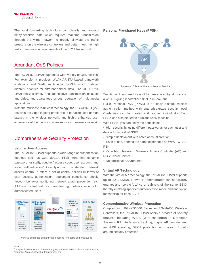The local forwarding technology can classify and forward delay-sensitive data which requires real-time transmission through the wired network to greatly alleviate the traffic pressure on the wireless controllers and better meet the high traffic transmission requirements of the 802.11ax network.

## Abundant QoS Policies

The RG-AP820-L(V2) supports a wide variety of QoS policies. For example, it provides WLAN/AP/STA-based bandwidth limitations and Wi-Fi multimedia (WMM) which defines different priorities for different service data. The RG-AP820- L(V2) realizes timely and quantitative transmission of audio and video, and guarantees smooth operation of multi-media applications.

With the multicast-to-unicast technology, the RG-AP820-L(V2) resolves the video lagging problem due to packet loss or high latency in the wireless network, and highly enhances user experience of the multicast video services of wireless network.

## Comprehensive Security Protection

#### **Secure User Access**

The RG-AP820-L(V2) supports a wide range of authentication methods such as web, 802.1x, PPSK (one-time dynamic password for staff), voucher/ access code, user account, and social authentication<sup>3</sup>. Complying with the standard network access control, it offers a set of control policies in terms of user access, authorization, equipment compliance check, network behavior monitoring, network attack prevention, etc. All these control features guarantee high network security for authenticated users.



Various enterprise authentication options for guests and employees

#### **Note**

#### **Personal Pre-shared Keys (PPSK)**



Simple and Effective Wireless Security Practice

Traditional Pre-shared Keys (PSK) are shared by all users on a WLAN, giving it potential risk of PSK leak-out.

Ruijie Personal PSK (PPSK) is an easy-to-setup wireless authentication method with enterprise-grade security level. Credentials can be created and revoked individually. Each PPSK can also be tied to a unique user/ machine.

With PPSK, you can enjoy the benefits of:

- High security by using different passwords for each user and device for individual SSID
- Simple deployment with batch account creation
- Ease of use, offering the same experience as WPA / WPA2-PSK
- Out-of-box feature in Wireless Access Controller (AC) and Ruijie Cloud Service
- No additional AAA required

#### **Virtual AP Technology**

With the virtual AP technology, the RG-AP820-L(V2) supports up to 32 ESSIDs. Network administrator can separately encrypt and isolate VLANs or subnets of the same SSID, thereby enabling specified authentication mode and encryption mechanism for each SSID.

#### **Comprehensive Wireless Protection**

Coupled with RG-WS6000 Series or RG-MACC Wireless Controllers, the RG-AP820-L(V2) offers a breadth of security features including WIDS (Wireless Intrusion Detection System), RF interference tracking, rogue AP containment, anti-ARP spoofing, DHCP protection and beyond for allaround security protection.

<sup>&</sup>lt;sup>3</sup> Ruijie Cloud service is required for guest authentication such as Captive Portal, Voucher, Account, Social authentication, etc.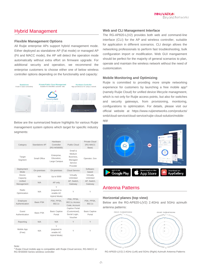## Hybrid Management

#### **Flexible Management Options**

All Ruijie enterprise APs support hybrid management mode. Either deployed as standalone AP (Fat mode) or managed AP (Fit and MACC mode), the AP will detect the operation mode automatically without extra effort on firmware upgrade. For additional security and operation, we recommend the enterprise customers to choose either one of below wireless controller options depending on the functionality and capacity:



Below are the summarized feature highlights for various Ruijie management system options which target for specific industry segments:

| Category                   | Standalone AP | Hardware<br>Controller<br>(RG-WS6000)          | Public Cloud                                                     | Private Cloud<br>(RG-MACC<br>Base) |
|----------------------------|---------------|------------------------------------------------|------------------------------------------------------------------|------------------------------------|
| Target<br>Segment          | Small Office  | Enterprise,<br>Education.<br>Large Campus      | Small &<br>Medium<br>Business.<br>Managed<br>Service<br>Provider | Operator, Gov                      |
| Deployment<br>Mode         | On-premises   | On-premises                                    | Cloud Service                                                    | Software-<br>based                 |
| Device<br>Capacity         | N/A           | Up to 5000                                     | Virtually<br>Unlimited                                           | Virtually<br>Unlimited             |
| Unified<br>Management      | N/A           | AP only                                        | AP, Switch,<br>Gateway                                           | AP, Switch,<br>Gateway             |
| Radio<br>Optimization      | N/A           | Υ<br>(required to<br>enable AC<br>Hybrid Mode) | Υ                                                                | Υ                                  |
| Employee<br>Authentication | Basic PSK     | PSK. PPSK.<br>802.1x                           | PSK, PPSK,<br>802.1x, Access<br>Code, Account                    | PSK. PPSK.<br>802.1x               |
| Guest<br>Authentication    | Basic PSK     | <b>Basic Captive</b><br>Portal                 | Captive Portal<br>(Customized),<br>Social Login,<br>Voucher      | <b>Basic Captive</b><br>Portal     |
| Reporting                  | N/A           | N/A                                            | Υ                                                                | Y                                  |
| Mobile App<br>(Free)       | N/A           | Υ<br>(required to<br>enable AC<br>Hybrid Mode) | Y                                                                | Y                                  |

Note:

<sup>4</sup> Ruijie Cloud mobile app is compatible with Ruijie Cloud service, RG-MACC or RG-WS6000 Series wireless controller

#### **Web and CLI Management Interface**

The RG-AP820-L(V2) provides both web and command-line interface (CLI) for the AP and wireless controller, suitable for application in different scenarios. CLI design allows the networking professionals to perform fast troubleshooting, bulk configuration import or modification. Web GUI mangaement should be perfect for the majority of general scenarios to plan, operate and maintain the wireless network without the need of customization.

#### **Mobile Monitoring and Optimizing**

Ruijie is committed to providing more simple networking experience for customers by launching a free mobile app<sup>4</sup> (namely Ruijie Cloud) for unified device lifecycle managmeent, which is not only for Ruijie access points, but also for switches and security gateways, from provisioning, monitoring, configurations to optimization. For details, please visit our official website at [https://www.ruijienetworks.com/products/](http://www.ruijienetworks.com/products/) smb/cloud-service/cloud-service/ruijie-cloud-solution/mobileapp



## Antenna Patterns

#### **Horizontal planes (top view)**

Below are the RG-AP820-L(V2) 2.4GHz and 5GHz azimuth antenna patterns:



RG-AP820-L(V2) 2.4GHz (Left) and 5GHz (Right) Azimuth Antenna Patterns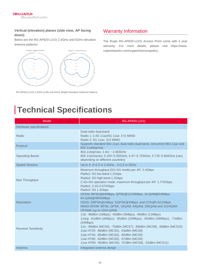### **Vertical (elevation) planes (side view, AP facing down)**

Below are the RG-AP820-L(V2) 2.4GHz and 5GHz elevation antenna patterns:



RG-AP820-L(V2) 2.4GHz (Left) and 5GHz (Right) Elevation Antenna Patterns

# Warranty Information

The Ruijie RG-AP820-L(V2) Access Point come with 3 year warranty. For more details, please visit [https://www.](http://www/) ruijienetworks.com/support/servicepolicy.

# **Technical Specifications**

| Model                       | RG-AP820-L(V2)                                                                                                                                                                                                                                                                                                                                                                                      |
|-----------------------------|-----------------------------------------------------------------------------------------------------------------------------------------------------------------------------------------------------------------------------------------------------------------------------------------------------------------------------------------------------------------------------------------------------|
| Hardware specifications     |                                                                                                                                                                                                                                                                                                                                                                                                     |
| Radio                       | Dual-radio dual-band:<br>Radio 1: 2.4G 11ax/5G 11ax: 2x2 MIMO<br>Radio 2: 5G 11ax: 2x2 MIMO                                                                                                                                                                                                                                                                                                         |
| Protocol                    | Supports standard 802.11ax, dual-radio dual-band, concurrent 802.11ax and<br>802.11a/b/g/n/ac                                                                                                                                                                                                                                                                                                       |
| <b>Operating Bands</b>      | 802.11b/g/n/ax: 2.4G ~ 2.483GHz<br>802.11a/n/ac/ax: 5.150~5.350GHz, 5.47~5.725GHz, 5.725~5.850GHz (vary<br>depending on different countries)                                                                                                                                                                                                                                                        |
| <b>Spatial Streams</b>      | Up to 4: 2x2:2 in 2.4GHz, 2x2:2 in 5GHz                                                                                                                                                                                                                                                                                                                                                             |
| Max Throughput              | Maximum throughput (5G+5G mode) per AP: 2.4Gbps<br>Radio1: 5G low band 1.2Gbps<br>Radio2: 5G high band 1.2Gbps<br>2.4G+5G operation mode, maximum throughput per AP: 1.775Gbps<br>Radio1: 2.4G 0.574Gbps<br>Radio2: 5G 1.2Gbps                                                                                                                                                                      |
| Modulation                  | OFDM: BPSK@6/9Mbps, QPSK@12/18Mbps, 16-QAM@24Mbps,<br>64-QAM@48/54Mbps<br>DSSS: DBPSK@1Mbps, DQPSK@2Mbps, and CCK@5.5/11Mbps<br>MIMO-OFDM: BPSK, QPSK, 16QAM, 64QAM, 256QAM and 1024QAM<br>OFDMA (up to 1024-QAM)                                                                                                                                                                                   |
| <b>Receiver Sensitivity</b> | 11b: -96dBm (1Mbps), -93dBm (5Mbps), -89dBm (11Mbps)<br>11a/g: -91dBm (6Mbps), -85dBm (24Mbps), -80dBm (36Mbps), -74dBm<br>(54Mbps)<br>11n: -90dBm (MCS0), -70dBm (MCS7), -89dBm (MCS8), -68dBm (MCS15)<br>11ac HT20: -88dBm (MCS0), -63dBm (MCS9)<br>11ac HT40: -85dBm (MCS0), -60dBm (MCS9)<br>11ac HT80: -82dBm (MCS0), -57dBm (MCS9)<br>11ax HT80: -82dBm (MCS0), -57dBm (MCS9), -52dBm (MCS11) |
| Antenna                     | Integrated antenna design                                                                                                                                                                                                                                                                                                                                                                           |
|                             |                                                                                                                                                                                                                                                                                                                                                                                                     |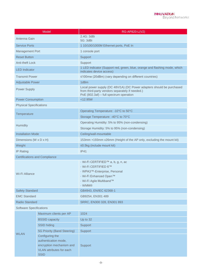| Model                                | RG-AP820-L(V2)                                                                                                                                                      |  |
|--------------------------------------|---------------------------------------------------------------------------------------------------------------------------------------------------------------------|--|
| Antenna Gain                         | 2.4G: 3dBi<br>5G: 3dBi                                                                                                                                              |  |
| <b>Service Ports</b>                 | 1 10/100/1000M Ethernet ports, PoE In                                                                                                                               |  |
| <b>Management Port</b>               | 1 console port                                                                                                                                                      |  |
| <b>Reset Button</b>                  | Support                                                                                                                                                             |  |
| Anti-theft Lock                      | Support                                                                                                                                                             |  |
| <b>LED</b> Indicator                 | 1 LED indicator (Support red, green, blue, orange and flashing mode, which<br>indicates device access)                                                              |  |
| <b>Transmit Power</b>                | ≤100mw (20dBm) (vary depending on different countries)                                                                                                              |  |
| <b>Adjustable Power</b>              | 1dBm                                                                                                                                                                |  |
| <b>Power Supply</b>                  | Local power supply (DC 48V/1A) (DC Power adapters should be purchased<br>from third-party vendors separately if needed.)<br>PoE (802.3af) - full spectrum operation |  |
| <b>Power Consumption</b>             | $<$ 12.95W                                                                                                                                                          |  |
| <b>Physical Specifications</b>       |                                                                                                                                                                     |  |
|                                      | Operating Temperature: -10°C to 50°C                                                                                                                                |  |
| Temperature                          | Storage Temperature: -40°C to 70°C                                                                                                                                  |  |
|                                      | Operating Humidity: 5% to 95% (non-condensing)                                                                                                                      |  |
| Humidity                             | Storage Humidity: 5% to 95% (non-condensing)                                                                                                                        |  |
| <b>Installation Mode</b>             | Ceiling/wall-mountable                                                                                                                                              |  |
| Dimensions (W x D x H)               | 153mm x193mm x26mm (Height of the AP only, excluding the mount kit)                                                                                                 |  |
| Weight                               | ≤0.5kg (include mount kit)                                                                                                                                          |  |
| <b>IP Rating</b>                     | <b>IP41</b>                                                                                                                                                         |  |
| <b>Certifications and Compliance</b> |                                                                                                                                                                     |  |
| Wi-Fi Alliance                       | · Wi-Fi CERTIFIED™ a, b, g, n, ac<br>- Wi-Fi CERTIFIED 6™<br>• WPA3™-Enterprise, Personal<br>• Wi-Fi Enhanced Open™<br>• Wi-Fi Agile Multiband™<br>- WMM®           |  |
| <b>Safety Standard</b>               | GB4943, EN/IEC 62368-1                                                                                                                                              |  |
| <b>EMC Standard</b>                  | GB9254, EN301 489                                                                                                                                                   |  |
| Radio Standard                       | SRRC, EN300 328, EN301 893                                                                                                                                          |  |
| <b>Software Specifications</b>       |                                                                                                                                                                     |  |

| Maximum clients per AP                                                                                 | 1024        |
|--------------------------------------------------------------------------------------------------------|-------------|
| <b>BSSID capacity</b>                                                                                  | Up to 32    |
| SSID hiding                                                                                            | Support     |
| 5G Priority (Band Steering)                                                                            | Support     |
| Configuring the<br>authentication mode,<br>encryption mechanism and<br><b>VLAN</b> attributes for each | Support     |
|                                                                                                        | <b>SSID</b> |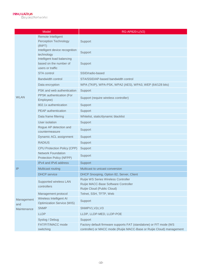| Model             |                                                                          | RG-AP820-L(V2)                                                                                                                               |  |
|-------------------|--------------------------------------------------------------------------|----------------------------------------------------------------------------------------------------------------------------------------------|--|
|                   | Remote Intelligent<br><b>Perception Technology</b><br>(RIPT)             | Support                                                                                                                                      |  |
|                   | Intelligent device recognition<br>technology                             | Support                                                                                                                                      |  |
|                   | Intelligent load balancing<br>based on the number of<br>users or traffic | Support                                                                                                                                      |  |
|                   | STA control                                                              | SSID/radio-based                                                                                                                             |  |
|                   | <b>Bandwidth control</b>                                                 | STA/SSID/AP-based bandwidth control                                                                                                          |  |
|                   | Data encryption                                                          | WPA (TKIP), WPA-PSK, WPA2 (AES), WPA3, WEP (64/128 bits)                                                                                     |  |
|                   | PSK and web authentication                                               | Support                                                                                                                                      |  |
| <b>WLAN</b>       | <b>PPSK</b> authentication (For<br>Employee)                             | Support (require wireless controller)                                                                                                        |  |
|                   | 802.1x authentication                                                    | Support                                                                                                                                      |  |
|                   | <b>PEAP</b> authentication                                               | Support                                                                                                                                      |  |
|                   | Data frame filtering                                                     | Whitelist, static/dynamic blacklist                                                                                                          |  |
|                   | User isolation                                                           | Support                                                                                                                                      |  |
|                   | Rogue AP detection and<br>countermeasure                                 | Support                                                                                                                                      |  |
|                   | Dynamic ACL assignment                                                   | Support                                                                                                                                      |  |
|                   | <b>RADIUS</b>                                                            | Support                                                                                                                                      |  |
|                   | <b>CPU Protection Policy (CPP)</b>                                       | Support                                                                                                                                      |  |
|                   | <b>Network Foundation</b><br>Protection Policy (NFPP)                    | Support                                                                                                                                      |  |
|                   | IPv4 and IPv6 address                                                    | Support                                                                                                                                      |  |
| IP                | Multicast routing                                                        | Multicast to unicast conversion                                                                                                              |  |
|                   | <b>DHCP</b> service                                                      | DHCP Snooping, Option 82, Server, Client                                                                                                     |  |
|                   | Supported wireless LAN<br>controllers                                    | Ruijie WS Series Wireless Controller<br>Ruijie MACC-Base Software Controller<br>Ruijie Cloud (Public Cloud)                                  |  |
|                   | Management protocol                                                      | Telnet, SSH, TFTP, Web                                                                                                                       |  |
| Management<br>and | Wireless Intelligent AI<br><b>Optimization Service (WIS)</b>             | Support                                                                                                                                      |  |
| Maintenance       | <b>SNMP</b>                                                              | SNMPV1, V2c, V3                                                                                                                              |  |
|                   | <b>LLDP</b>                                                              | LLDP, LLDP-MED, LLDP-POE                                                                                                                     |  |
|                   | Syslog / Debug                                                           | Support                                                                                                                                      |  |
|                   | FAT/FIT/MACC mode<br>switching                                           | Factory default firmware supports FAT (standalone) or FIT mode (WS<br>controller) or MACC mode (Ruijie MACC-Base or Ruijie Cloud) management |  |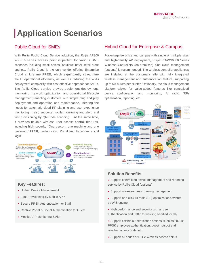# **Application Scenarios**

## Public Cloud for SMEs

With Ruijie Public Cloud Service adoption, the Ruijie AP800 Wi-Fi 6 series access point is perfect for various SME scenarios including small offices, boutique hotel, retail store and etc. Ruijie Cloud is the only vendor offering Enterprise Cloud at Lifetime FREE, which significantly streamline the IT operational efficiency, as well as reducing the Wi-Fi deployment complexity with cost effective approach for SMEs. The Ruijie Cloud service provide equipment deployment, monitoring, network optimization and operational lifecycle management; enabling customers with simple plug and play deployment and operation and maintenance. Meeting the needs for automatic cloud RF planning and user experience monitoring, it also supports mobile monitoring and alert, and fast provisioning by QR-Code scanning. At the same time, it provides flexible wireless user access control features, including high security "One person, one machine and one password" PPSK, built-in cloud Portal and Facebook social login.



## **Key Features:**

- Unified Device Management
- Fast Provisioning by Mobile APP
- Secure PPSK Authentication for Staff
- Captive Portal & Social Authentication for Guest
- Mobile APP Monitoring & Alert

## Hybrid Cloud for Enterprise & Campus

For enterprise office and campus with single or multiple sites and high-density AP deployment, Ruijie RG-WS6000 Series Wireless Controllers (on-premises) plus cloud management (optional) is recommended. The wireless controller appliances are installed at the customer's site with fully integrated wireless management and authentication feature, supporting up to 5000 APs per cluster. Optionally, the cloud management platform allows for value-added features like centralized device configuration and monitoring, AI radio (RF) optimization, reporting, etc.



## **Solution Benefits:**

- Support centralized device management and reporting service by Ruijie Cloud (optional)
- Support ultra-seamless roaming management
- Support one-click AI radio (RF) optimizationpowered by WIS engine
- High performance and security with all user authentication and traffic forwarding handled locally
- Support flexible authentication options, such as 802.1x, PPSK employee authentication, guest hotspot and voucher access code, etc.
- Support all series of Ruijie wireless access points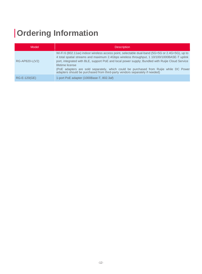# **Ordering Information**

| Model          | <b>Description</b>                                                                                                                                                                                                                                                                                                                                                                                                                                                                              |
|----------------|-------------------------------------------------------------------------------------------------------------------------------------------------------------------------------------------------------------------------------------------------------------------------------------------------------------------------------------------------------------------------------------------------------------------------------------------------------------------------------------------------|
| RG-AP820-L(V2) | Wi-Fi 6 (802.11ax) indoor wireless access point, selectable dual-band (5G+5G or 2.4G+5G), up to<br>4 total spatial streams and maximum 2.4Gbps wireless throughput, 1 10/100/1000BASE-T uplink<br>port, integrated with BLE, support PoE and local power supply; Bundled with Ruijie Cloud Service<br>lifetime license<br>(PoE adapters are sold separately, which could be purchased from Ruijie while DC Power<br>adapters should be purchased from third-party vendors separately if needed) |
| RG-E-120(GE)   | 1-port PoE adapter (1000Base-T, 802.3af)                                                                                                                                                                                                                                                                                                                                                                                                                                                        |